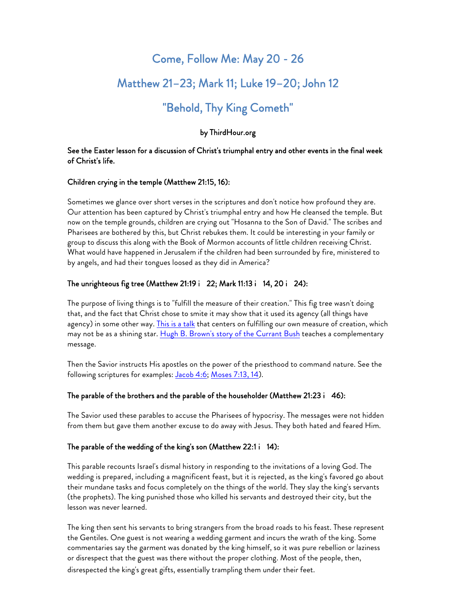# Come, Follow Me: May 20 - 26

# Matthew 21–23; Mark 11; Luke 19–20; John 12

# "Behold, Thy King Cometh"

# by ThirdHour.org

### See the Easter lesson for a discussion of Christ's triumphal entry and other events in the final week of Christ's life.

## Children crying in the temple (Matthew 21:15, 16):

Sometimes we glance over short verses in the scriptures and don't notice how profound they are. Our attention has been captured by Christ's triumphal entry and how He cleansed the temple. But now on the temple grounds, children are crying out "Hosanna to the Son of David." The scribes and Pharisees are bothered by this, but Christ rebukes them. It could be interesting in your family or group to discuss this along with the Book of Mormon accounts of little children receiving Christ. What would have happened in Jerusalem if the children had been surrounded by fire, ministered to by angels, and had their tongues loosed as they did in America?

## The unrighteous fig tree (Matthew 21:19 i 22; Mark 11:13 i 14, 20 i 24):

The purpose of living things is to "fulfill the measure of their creation." This fig tree wasn't doing that, and the fact that Christ chose to smite it may show that it used its agency (all things have agency) in some other way. This is a talk that centers on fulfilling our own measure of creation, which may not be as a shining star. Hugh B. Brown's story of the Currant Bush teaches a complementary message.

Then the Savior instructs His apostles on the power of the priesthood to command nature. See the following scriptures for examples: Jacob 4:6; Moses 7:13, 14).

## The parable of the brothers and the parable of the householder (Matthew 21:23 i 46):

The Savior used these parables to accuse the Pharisees of hypocrisy. The messages were not hidden from them but gave them another excuse to do away with Jesus. They both hated and feared Him.

#### The parable of the wedding of the king's son (Matthew 22:1 i 14):

This parable recounts Israel's dismal history in responding to the invitations of a loving God. The wedding is prepared, including a magnificent feast, but it is rejected, as the king's favored go about their mundane tasks and focus completely on the things of the world. They slay the king's servants (the prophets). The king punished those who killed his servants and destroyed their city, but the lesson was never learned.

The king then sent his servants to bring strangers from the broad roads to his feast. These represent the Gentiles. One guest is not wearing a wedding garment and incurs the wrath of the king. Some commentaries say the garment was donated by the king himself, so it was pure rebellion or laziness or disrespect that the guest was there without the proper clothing. Most of the people, then, disrespected the king's great gifts, essentially trampling them under their feet.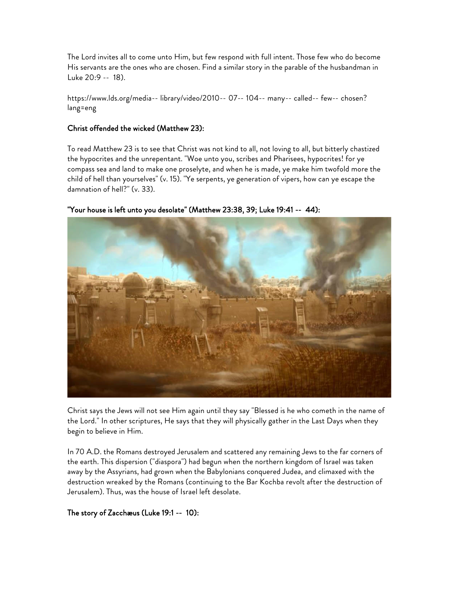The Lord invites all to come unto Him, but few respond with full intent. Those few who do become His servants are the ones who are chosen. Find a similar story in the parable of the husbandman in Luke 20:9 -- 18).

https://www.lds.org/media-- library/video/2010-- 07-- 104-- many-- called-- few-- chosen? lang=eng

#### Christ offended the wicked (Matthew 23):

To read Matthew 23 is to see that Christ was not kind to all, not loving to all, but bitterly chastized the hypocrites and the unrepentant. "Woe unto you, scribes and Pharisees, hypocrites! for ye compass sea and land to make one proselyte, and when he is made, ye make him twofold more the child of hell than yourselves" (v. 15). "Ye serpents, ye generation of vipers, how can ye escape the damnation of hell?" (v. 33).



#### "Your house is left unto you desolate" (Matthew 23:38, 39; Luke 19:41 -- 44):

Christ says the Jews will not see Him again until they say "Blessed is he who cometh in the name of the Lord." In other scriptures, He says that they will physically gather in the Last Days when they begin to believe in Him.

In 70 A.D. the Romans destroyed Jerusalem and scattered any remaining Jews to the far corners of the earth. This dispersion ("diaspora") had begun when the northern kingdom of Israel was taken away by the Assyrians, had grown when the Babylonians conquered Judea, and climaxed with the destruction wreaked by the Romans (continuing to the Bar Kochba revolt after the destruction of Jerusalem). Thus, was the house of Israel left desolate.

#### The story of Zacchæus (Luke 19:1 -- 10):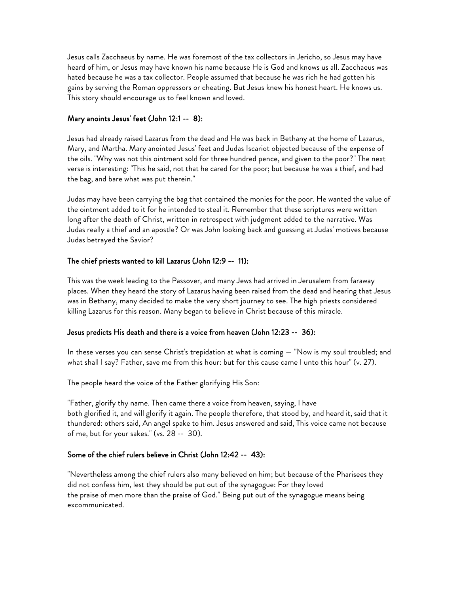Jesus calls Zacchaeus by name. He was foremost of the tax collectors in Jericho, so Jesus may have heard of him, or Jesus may have known his name because He is God and knows us all. Zacchaeus was hated because he was a tax collector. People assumed that because he was rich he had gotten his gains by serving the Roman oppressors or cheating. But Jesus knew his honest heart. He knows us. This story should encourage us to feel known and loved.

# Mary anoints Jesus' feet (John 12:1 -- 8):

Jesus had already raised Lazarus from the dead and He was back in Bethany at the home of Lazarus, Mary, and Martha. Mary anointed Jesus' feet and Judas Iscariot objected because of the expense of the oils. "Why was not this ointment sold for three hundred pence, and given to the poor?" The next verse is interesting: "This he said, not that he cared for the poor; but because he was a thief, and had the bag, and bare what was put therein."

Judas may have been carrying the bag that contained the monies for the poor. He wanted the value of the ointment added to it for he intended to steal it. Remember that these scriptures were written long after the death of Christ, written in retrospect with judgment added to the narrative. Was Judas really a thief and an apostle? Or was John looking back and guessing at Judas' motives because Judas betrayed the Savior?

# The chief priests wanted to kill Lazarus (John 12:9 -- 11):

This was the week leading to the Passover, and many Jews had arrived in Jerusalem from faraway places. When they heard the story of Lazarus having been raised from the dead and hearing that Jesus was in Bethany, many decided to make the very short journey to see. The high priests considered killing Lazarus for this reason. Many began to believe in Christ because of this miracle.

## Jesus predicts His death and there is a voice from heaven (John 12:23 -- 36):

In these verses you can sense Christ's trepidation at what is coming — "Now is my soul troubled; and what shall I say? Father, save me from this hour: but for this cause came I unto this hour" (v. 27).

The people heard the voice of the Father glorifying His Son:

"Father, glorify thy name. Then came there a voice from heaven, saying, I have both glorified it, and will glorify it again. The people therefore, that stood by, and heard it, said that it thundered: others said, An angel spake to him. Jesus answered and said, This voice came not because of me, but for your sakes." (vs. 28 -- 30).

# Some of the chief rulers believe in Christ (John 12:42 -- 43):

"Nevertheless among the chief rulers also many believed on him; but because of the Pharisees they did not confess him, lest they should be put out of the synagogue: For they loved the praise of men more than the praise of God." Being put out of the synagogue means being excommunicated.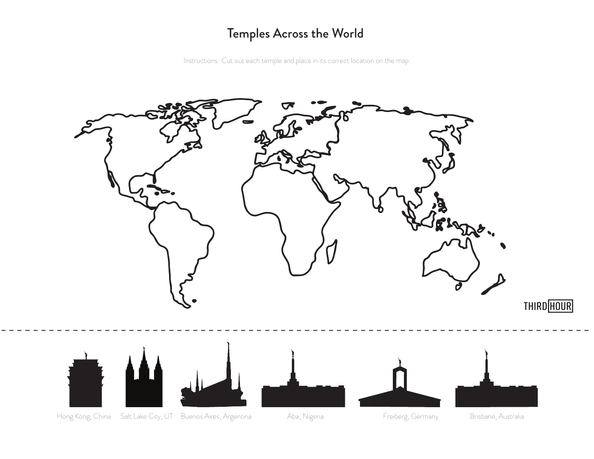# Temples Across the World

Instructions: Cut out each temple and place in its correct location on the map.